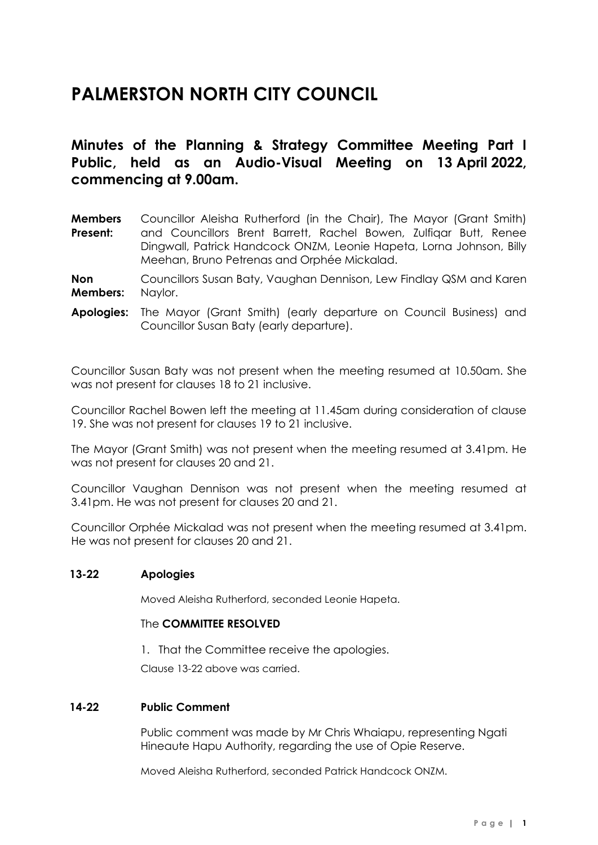# **PALMERSTON NORTH CITY COUNCIL**

# **Minutes of the Planning & Strategy Committee Meeting Part I Public, held as an Audio-Visual Meeting on 13 April 2022, commencing at 9.00am.**

**Members Present:** Councillor Aleisha Rutherford (in the Chair), The Mayor (Grant Smith) and Councillors Brent Barrett, Rachel Bowen, Zulfiqar Butt, Renee Dingwall, Patrick Handcock ONZM, Leonie Hapeta, Lorna Johnson, Billy Meehan, Bruno Petrenas and Orphée Mickalad.

**Non Members:** Councillors Susan Baty, Vaughan Dennison, Lew Findlay QSM and Karen Naylor.

**Apologies:** The Mayor (Grant Smith) (early departure on Council Business) and Councillor Susan Baty (early departure).

Councillor Susan Baty was not present when the meeting resumed at 10.50am. She was not present for clauses 18 to 21 inclusive.

Councillor Rachel Bowen left the meeting at 11.45am during consideration of clause 19. She was not present for clauses 19 to 21 inclusive.

The Mayor (Grant Smith) was not present when the meeting resumed at 3.41pm. He was not present for clauses 20 and 21.

Councillor Vaughan Dennison was not present when the meeting resumed at 3.41pm. He was not present for clauses 20 and 21.

Councillor Orphée Mickalad was not present when the meeting resumed at 3.41pm. He was not present for clauses 20 and 21.

#### **13-22 Apologies**

Moved Aleisha Rutherford, seconded Leonie Hapeta.

# The **COMMITTEE RESOLVED**

1. That the Committee receive the apologies.

Clause 13-22 above was carried.

#### **14-22 Public Comment**

Public comment was made by Mr Chris Whaiapu, representing Ngati Hineaute Hapu Authority, regarding the use of Opie Reserve.

Moved Aleisha Rutherford, seconded Patrick Handcock ONZM.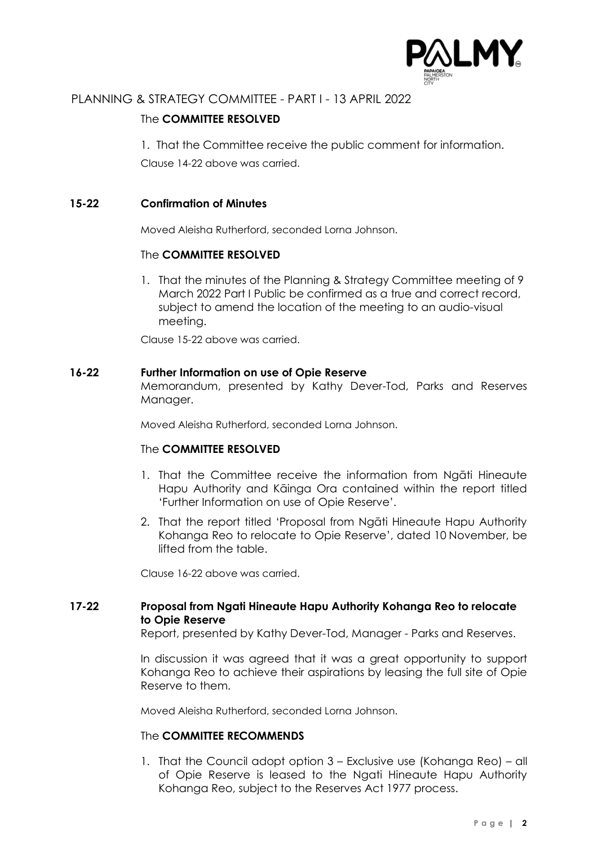

# The **COMMITTEE RESOLVED**

1. That the Committee receive the public comment for information.

Clause 14-22 above was carried.

# **15-22 Confirmation of Minutes**

Moved Aleisha Rutherford, seconded Lorna Johnson.

# The **COMMITTEE RESOLVED**

1. That the minutes of the Planning & Strategy Committee meeting of 9 March 2022 Part I Public be confirmed as a true and correct record, subject to amend the location of the meeting to an audio-visual meeting.

Clause 15-22 above was carried.

# **16-22 Further Information on use of Opie Reserve**

Memorandum, presented by Kathy Dever-Tod, Parks and Reserves Manager.

Moved Aleisha Rutherford, seconded Lorna Johnson.

# The **COMMITTEE RESOLVED**

- 1. That the Committee receive the information from Ngāti Hineaute Hapu Authority and Kāinga Ora contained within the report titled 'Further Information on use of Opie Reserve'.
- 2. That the report titled 'Proposal from Ngāti Hineaute Hapu Authority Kohanga Reo to relocate to Opie Reserve', dated 10 November, be lifted from the table.

Clause 16-22 above was carried.

# **17-22 Proposal from Ngati Hineaute Hapu Authority Kohanga Reo to relocate to Opie Reserve**

Report, presented by Kathy Dever-Tod, Manager - Parks and Reserves.

In discussion it was agreed that it was a great opportunity to support Kohanga Reo to achieve their aspirations by leasing the full site of Opie Reserve to them.

Moved Aleisha Rutherford, seconded Lorna Johnson.

# The **COMMITTEE RECOMMENDS**

1. That the Council adopt option 3 – Exclusive use (Kohanga Reo) – all of Opie Reserve is leased to the Ngati Hineaute Hapu Authority Kohanga Reo, subject to the Reserves Act 1977 process.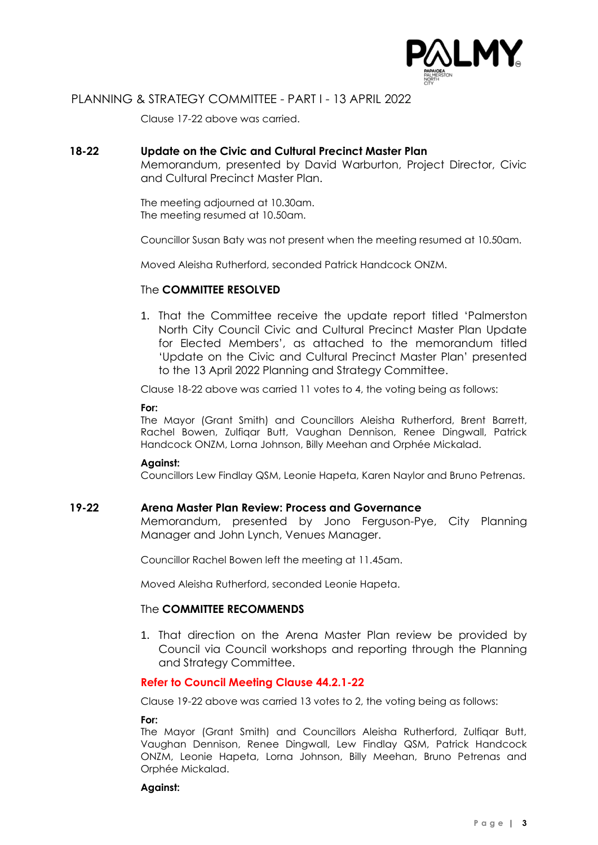

Clause 17-22 above was carried.

## **18-22 Update on the Civic and Cultural Precinct Master Plan**

Memorandum, presented by David Warburton, Project Director, Civic and Cultural Precinct Master Plan.

The meeting adjourned at 10.30am. The meeting resumed at 10.50am.

Councillor Susan Baty was not present when the meeting resumed at 10.50am.

Moved Aleisha Rutherford, seconded Patrick Handcock ONZM.

#### The **COMMITTEE RESOLVED**

1. That the Committee receive the update report titled 'Palmerston North City Council Civic and Cultural Precinct Master Plan Update for Elected Members', as attached to the memorandum titled 'Update on the Civic and Cultural Precinct Master Plan' presented to the 13 April 2022 Planning and Strategy Committee.

Clause 18-22 above was carried 11 votes to 4, the voting being as follows:

#### **For:**

The Mayor (Grant Smith) and Councillors Aleisha Rutherford, Brent Barrett, Rachel Bowen, Zulfiqar Butt, Vaughan Dennison, Renee Dingwall, Patrick Handcock ONZM, Lorna Johnson, Billy Meehan and Orphée Mickalad.

#### **Against:**

Councillors Lew Findlay QSM, Leonie Hapeta, Karen Naylor and Bruno Petrenas.

#### **19-22 Arena Master Plan Review: Process and Governance**

Memorandum, presented by Jono Ferguson-Pye, City Planning Manager and John Lynch, Venues Manager.

Councillor Rachel Bowen left the meeting at 11.45am.

Moved Aleisha Rutherford, seconded Leonie Hapeta.

#### The **COMMITTEE RECOMMENDS**

1. That direction on the Arena Master Plan review be provided by Council via Council workshops and reporting through the Planning and Strategy Committee.

#### **Refer to Council Meeting Clause 44.2.1-22**

Clause 19-22 above was carried 13 votes to 2, the voting being as follows:

#### **For:**

The Mayor (Grant Smith) and Councillors Aleisha Rutherford, Zulfiqar Butt, Vaughan Dennison, Renee Dingwall, Lew Findlay QSM, Patrick Handcock ONZM, Leonie Hapeta, Lorna Johnson, Billy Meehan, Bruno Petrenas and Orphée Mickalad.

#### **Against:**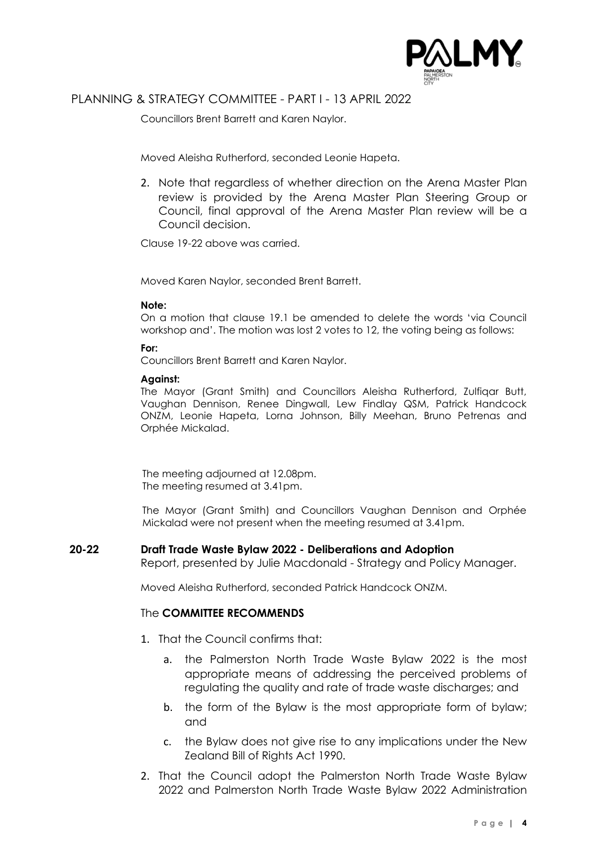

Councillors Brent Barrett and Karen Naylor.

Moved Aleisha Rutherford, seconded Leonie Hapeta.

2. Note that regardless of whether direction on the Arena Master Plan review is provided by the Arena Master Plan Steering Group or Council, final approval of the Arena Master Plan review will be a Council decision.

Clause 19-22 above was carried.

Moved Karen Naylor, seconded Brent Barrett.

#### **Note:**

On a motion that clause 19.1 be amended to delete the words 'via Council workshop and'. The motion was lost 2 votes to 12, the voting being as follows:

#### **For:**

Councillors Brent Barrett and Karen Naylor.

#### **Against:**

The Mayor (Grant Smith) and Councillors Aleisha Rutherford, Zulfiaar Butt, Vaughan Dennison, Renee Dingwall, Lew Findlay QSM, Patrick Handcock ONZM, Leonie Hapeta, Lorna Johnson, Billy Meehan, Bruno Petrenas and Orphée Mickalad.

The meeting adjourned at 12.08pm. The meeting resumed at 3.41pm.

The Mayor (Grant Smith) and Councillors Vaughan Dennison and Orphée Mickalad were not present when the meeting resumed at 3.41pm.

# **20-22 Draft Trade Waste Bylaw 2022 - Deliberations and Adoption**

Report, presented by Julie Macdonald - Strategy and Policy Manager.

Moved Aleisha Rutherford, seconded Patrick Handcock ONZM.

# The **COMMITTEE RECOMMENDS**

- 1. That the Council confirms that:
	- a. the Palmerston North Trade Waste Bylaw 2022 is the most appropriate means of addressing the perceived problems of regulating the quality and rate of trade waste discharges; and
	- b. the form of the Bylaw is the most appropriate form of bylaw; and
	- c. the Bylaw does not give rise to any implications under the New Zealand Bill of Rights Act 1990.
- 2. That the Council adopt the Palmerston North Trade Waste Bylaw 2022 and Palmerston North Trade Waste Bylaw 2022 Administration